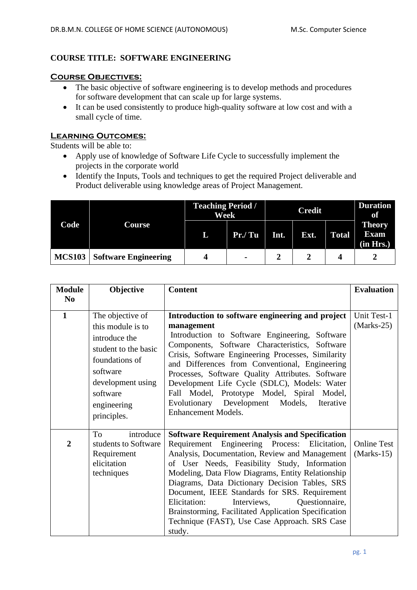# **COURSE TITLE: SOFTWARE ENGINEERING**

#### **Course Objectives:**

- The basic objective of software engineering is to develop methods and procedures for software development that can scale up for large systems.
- It can be used consistently to produce high-quality software at low cost and with a small cycle of time.

# **Learning Outcomes:**

Students will be able to:

- Apply use of knowledge of Software Life Cycle to successfully implement the projects in the corporate world
- Identify the Inputs, Tools and techniques to get the required Project deliverable and Product deliverable using knowledge areas of Project Management.

| Code          | Course                      | <b>Teaching Period /</b><br>Week |                | <b>Credit</b> |      |              | <b>Duration</b><br>of                     |
|---------------|-----------------------------|----------------------------------|----------------|---------------|------|--------------|-------------------------------------------|
|               |                             | L                                | $Pr./T$ u      | Int.          | Ext. | <b>Total</b> | <b>Theory</b><br><b>Exam</b><br>(in Hrs.) |
| <b>MCS103</b> | <b>Software Engineering</b> |                                  | $\blacksquare$ |               |      |              |                                           |

| <b>Module</b><br>N <sub>0</sub> | Objective                                                                                                                                                                   | <b>Content</b>                                                                                                                                                                                                                                                                                                                                                                                                                                                                                                                         | <b>Evaluation</b>                  |
|---------------------------------|-----------------------------------------------------------------------------------------------------------------------------------------------------------------------------|----------------------------------------------------------------------------------------------------------------------------------------------------------------------------------------------------------------------------------------------------------------------------------------------------------------------------------------------------------------------------------------------------------------------------------------------------------------------------------------------------------------------------------------|------------------------------------|
| $\mathbf{1}$                    | The objective of<br>this module is to<br>introduce the<br>student to the basic<br>foundations of<br>software<br>development using<br>software<br>engineering<br>principles. | Introduction to software engineering and project<br>management<br>Introduction to Software Engineering, Software<br>Components, Software Characteristics, Software<br>Crisis, Software Engineering Processes, Similarity<br>and Differences from Conventional, Engineering<br>Processes, Software Quality Attributes. Software<br>Development Life Cycle (SDLC), Models: Water<br>Fall Model, Prototype Model, Spiral Model,<br>Evolutionary Development Models,<br>Iterative<br><b>Enhancement Models.</b>                            | Unit Test-1<br>$(Marks-25)$        |
| $\overline{2}$                  | introduce<br>To<br>students to Software<br>Requirement<br>elicitation<br>techniques                                                                                         | <b>Software Requirement Analysis and Specification</b><br>Requirement Engineering Process: Elicitation,<br>Analysis, Documentation, Review and Management<br>of User Needs, Feasibility Study, Information<br>Modeling, Data Flow Diagrams, Entity Relationship<br>Diagrams, Data Dictionary Decision Tables, SRS<br>Document, IEEE Standards for SRS. Requirement<br>Elicitation:<br>Interviews,<br>Questionnaire,<br>Brainstorming, Facilitated Application Specification<br>Technique (FAST), Use Case Approach. SRS Case<br>study. | <b>Online Test</b><br>$(Marks-15)$ |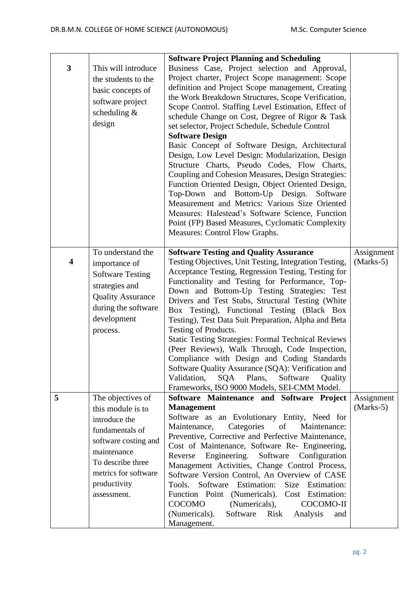|              |                          | <b>Software Project Planning and Scheduling</b>                                                           |             |
|--------------|--------------------------|-----------------------------------------------------------------------------------------------------------|-------------|
| $\mathbf{3}$ | This will introduce      | Business Case, Project selection and Approval,                                                            |             |
|              | the students to the      | Project charter, Project Scope management: Scope                                                          |             |
|              | basic concepts of        | definition and Project Scope management, Creating                                                         |             |
|              | software project         | the Work Breakdown Structures, Scope Verification,<br>Scope Control. Staffing Level Estimation, Effect of |             |
|              | scheduling &             | schedule Change on Cost, Degree of Rigor & Task                                                           |             |
|              | design                   | set selector, Project Schedule, Schedule Control                                                          |             |
|              |                          | <b>Software Design</b>                                                                                    |             |
|              |                          | Basic Concept of Software Design, Architectural                                                           |             |
|              |                          | Design, Low Level Design: Modularization, Design                                                          |             |
|              |                          | Structure Charts, Pseudo Codes, Flow Charts,                                                              |             |
|              |                          | Coupling and Cohesion Measures, Design Strategies:                                                        |             |
|              |                          | Function Oriented Design, Object Oriented Design,                                                         |             |
|              |                          | Top-Down and Bottom-Up Design.<br>Software                                                                |             |
|              |                          | Measurement and Metrics: Various Size Oriented                                                            |             |
|              |                          | Measures: Halestead's Software Science, Function                                                          |             |
|              |                          | Point (FP) Based Measures, Cyclomatic Complexity                                                          |             |
|              |                          | Measures: Control Flow Graphs.                                                                            |             |
|              | To understand the        | <b>Software Testing and Quality Assurance</b>                                                             | Assignment  |
| 4            | importance of            | Testing Objectives, Unit Testing, Integration Testing,                                                    | $(Marks-5)$ |
|              | <b>Software Testing</b>  | Acceptance Testing, Regression Testing, Testing for                                                       |             |
|              | strategies and           | Functionality and Testing for Performance, Top-                                                           |             |
|              | <b>Quality Assurance</b> | Down and Bottom-Up Testing Strategies: Test                                                               |             |
|              | during the software      | Drivers and Test Stubs, Structural Testing (White                                                         |             |
|              |                          | Box Testing), Functional Testing (Black Box                                                               |             |
|              | development              | Testing), Test Data Suit Preparation, Alpha and Beta                                                      |             |
|              | process.                 | Testing of Products.<br><b>Static Testing Strategies: Formal Technical Reviews</b>                        |             |
|              |                          | (Peer Reviews), Walk Through, Code Inspection,                                                            |             |
|              |                          | Compliance with Design and Coding Standards                                                               |             |
|              |                          | Software Quality Assurance (SQA): Verification and                                                        |             |
|              |                          | SQA Plans,<br>Validation,<br>Software<br>Quality                                                          |             |
|              |                          | Frameworks, ISO 9000 Models, SEI-CMM Model.                                                               |             |
| 5            | The objectives of        | Software Maintenance and Software Project                                                                 | Assignment  |
|              | this module is to        | <b>Management</b>                                                                                         | $(Marks-5)$ |
|              | introduce the            | Software as an Evolutionary Entity, Need for                                                              |             |
|              | fundamentals of          | Maintenance,<br>Categories<br>of<br>Maintenance:<br>Preventive, Corrective and Perfective Maintenance,    |             |
|              | software costing and     | Cost of Maintenance, Software Re- Engineering,                                                            |             |
|              | maintenance              | Engineering.<br>Software<br>Reverse<br>Configuration                                                      |             |
|              | To describe three        | Management Activities, Change Control Process,                                                            |             |
|              | metrics for software     | Software Version Control, An Overview of CASE                                                             |             |
|              | productivity             | Software Estimation:<br><b>Size</b><br>Tools.<br>Estimation:                                              |             |
|              | assessment.              | Function Point (Numericals).<br>Cost Estimation:                                                          |             |
|              |                          | COCOMO<br>COCOMO-II<br>(Numericals),                                                                      |             |
|              |                          | (Numericals).<br>Software<br>Risk<br>Analysis<br>and                                                      |             |
|              |                          | Management.                                                                                               |             |